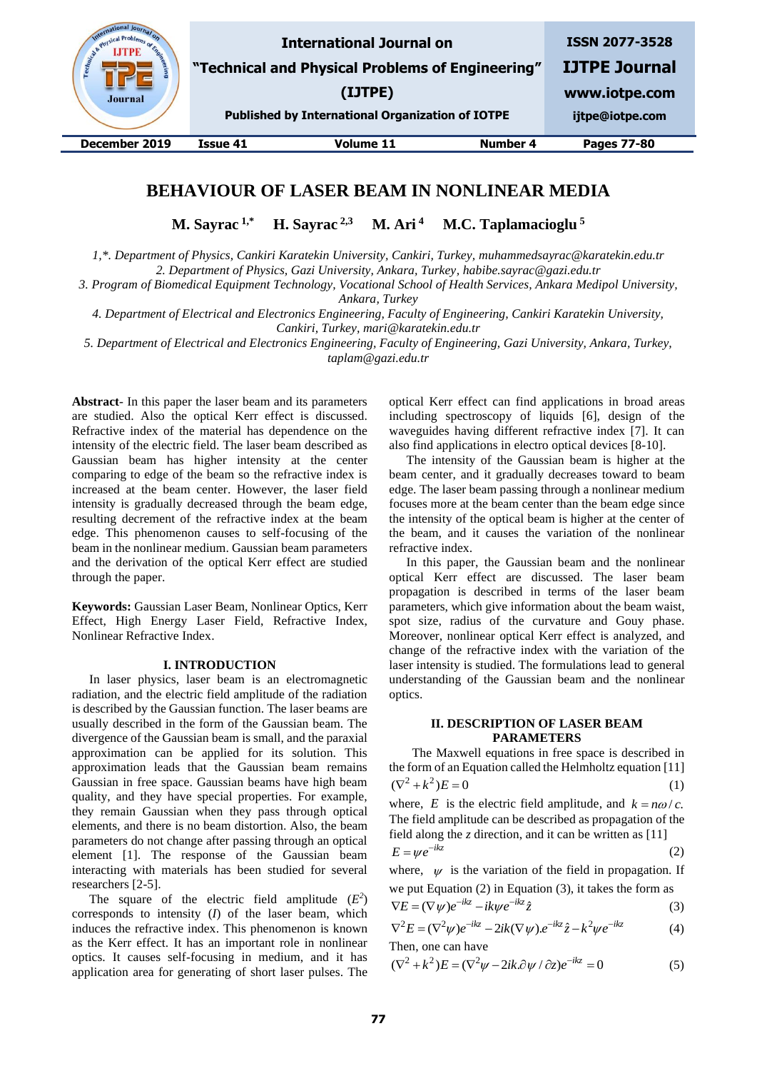

# **BEHAVIOUR OF LASER BEAM IN NONLINEAR MEDIA**

**M. Sayrac 1,\* H. Sayrac 2,3 M. Ari <sup>4</sup> M.C. Taplamacioglu <sup>5</sup>**

*1,\*. Department of Physics, Cankiri Karatekin University, Cankiri, Turkey, muhammedsayrac@karatekin.edu.tr*

*2. Department of Physics, Gazi University, Ankara, Turkey, habibe.sayrac@gazi.edu.tr*

*3. Program of Biomedical Equipment Technology, Vocational School of Health Services, Ankara Medipol University,* 

*Ankara, Turkey*

*4. Department of Electrical and Electronics Engineering, Faculty of Engineering, Cankiri Karatekin University, Cankiri, Turkey, mari@karatekin.edu.tr*

*5. Department of Electrical and Electronics Engineering, Faculty of Engineering, Gazi University, Ankara, Turkey, taplam@gazi.edu.tr*

**Abstract**- In this paper the laser beam and its parameters are studied. Also the optical Kerr effect is discussed. Refractive index of the material has dependence on the intensity of the electric field. The laser beam described as Gaussian beam has higher intensity at the center comparing to edge of the beam so the refractive index is increased at the beam center. However, the laser field intensity is gradually decreased through the beam edge, resulting decrement of the refractive index at the beam edge. This phenomenon causes to self-focusing of the beam in the nonlinear medium. Gaussian beam parameters and the derivation of the optical Kerr effect are studied through the paper.

**Keywords:** Gaussian Laser Beam, Nonlinear Optics, Kerr Effect, High Energy Laser Field, Refractive Index, Nonlinear Refractive Index.

## **I. INTRODUCTION**

In laser physics, laser beam is an electromagnetic radiation, and the electric field amplitude of the radiation is described by the Gaussian function. The laser beams are usually described in the form of the Gaussian beam. The divergence of the Gaussian beam is small, and the paraxial approximation can be applied for its solution. This approximation leads that the Gaussian beam remains Gaussian in free space. Gaussian beams have high beam quality, and they have special properties. For example, they remain Gaussian when they pass through optical elements, and there is no beam distortion. Also, the beam parameters do not change after passing through an optical element [1]. The response of the Gaussian beam interacting with materials has been studied for several researchers [2-5].

The square of the electric field amplitude  $(E^2)$ corresponds to intensity (*I*) of the laser beam, which induces the refractive index. This phenomenon is known as the Kerr effect. It has an important role in nonlinear optics. It causes self-focusing in medium, and it has application area for generating of short laser pulses. The

optical Kerr effect can find applications in broad areas including spectroscopy of liquids [6], design of the waveguides having different refractive index [7]. It can also find applications in electro optical devices [8-10].

The intensity of the Gaussian beam is higher at the beam center, and it gradually decreases toward to beam edge. The laser beam passing through a nonlinear medium focuses more at the beam center than the beam edge since the intensity of the optical beam is higher at the center of the beam, and it causes the variation of the nonlinear refractive index.

In this paper, the Gaussian beam and the nonlinear optical Kerr effect are discussed. The laser beam propagation is described in terms of the laser beam parameters, which give information about the beam waist, spot size, radius of the curvature and Gouy phase. Moreover, nonlinear optical Kerr effect is analyzed, and change of the refractive index with the variation of the laser intensity is studied. The formulations lead to general understanding of the Gaussian beam and the nonlinear optics.

## **II. DESCRIPTION OF LASER BEAM PARAMETERS**

The Maxwell equations in free space is described in the form of an Equation called the Helmholtz equation [11]  $(\nabla^2 + k^2)E = 0$ (1)

where, *E* is the electric field amplitude, and  $k = n\omega/c$ . The field amplitude can be described as propagation of the field along the *z* direction, and it can be written as [11]

$$
E = \psi e^{-ikz} \tag{2}
$$

where,  $\psi$  is the variation of the field in propagation. If we put Equation (2) in Equation (3), it takes the form as

$$
\nabla E = (\nabla \psi)e^{-ikz} - ik\psi e^{-ikz}\hat{z}
$$
 (3)

$$
\nabla E = (\nabla \psi)e^{-ikz} - ik\psi e^{-ikz}z
$$
\n(3)  
\n
$$
\nabla^2 E = (\nabla^2 \psi)e^{-ikz} - 2ik(\nabla \psi)e^{-ikz}\hat{z} - k^2\psi e^{-ikz}
$$
\n(4)

Then, one can have  
\n
$$
(\nabla^2 + k^2)E = (\nabla^2 \psi - 2ik \partial \psi / \partial z)e^{-ikz} = 0
$$
\n(5)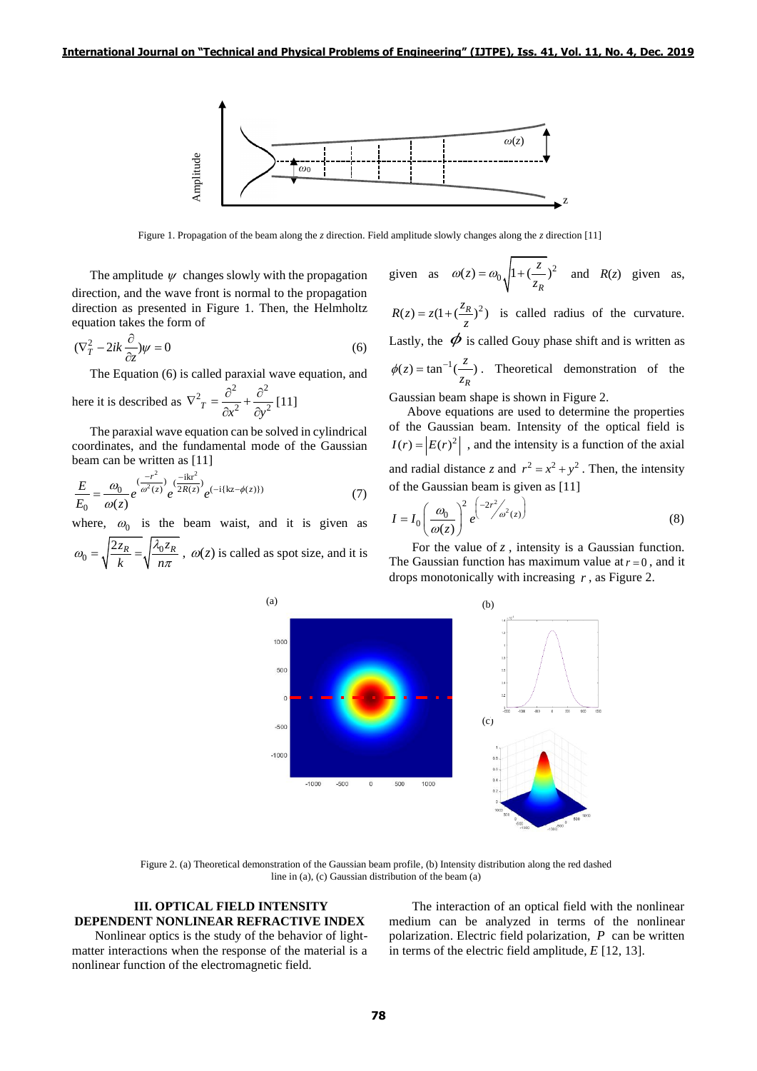

Figure 1. Propagation of the beam along the *z* direction. Field amplitude slowly changes along the *z* direction [11]

The amplitude  $\psi$  changes slowly with the propagation direction, and the wave front is normal to the propagation direction as presented in Figure 1. Then, the Helmholtz equation takes the form of

$$
(\nabla_T^2 - 2ik\frac{\partial}{\partial z})\psi = 0
$$
\n(6)

The Equation (6) is called paraxial wave equation, and

here it is described as 
$$
\nabla^2 T = \frac{\partial^2}{\partial x^2} + \frac{\partial^2}{\partial y^2}
$$
 [11]

The paraxial wave equation can be solved in cylindrical coordinates, and the fundamental mode of the Gaussian beam can be written as [11]

$$
\frac{E}{E_0} = \frac{\omega_0}{\omega(z)} e^{\frac{(-r^2)}{\omega^2(z)}} e^{\frac{(-ikr^2)}{2R(z)}} e^{(-i\{kz - \phi(z)\})}
$$
(7)

where,  $\omega_0$  is the beam waist, and it is given as

 $\eta_0 = \sqrt{\frac{2z_R}{L}} = \sqrt{\frac{\lambda_0 z_R}{m}}$ *k n*  $\omega_0 = \sqrt{\frac{2z_R}{k}} = \sqrt{\frac{\lambda_0 z_R}{n\pi}}$ ,  $\omega(z)$  is called as spot size, and it is



 $R(z) = z(1 + (\frac{z_R}{z})^2)$  is called radius of the curvature. Lastly, the  $\phi$  is called Gouy phase shift and is written as  $u(z) = \tan^{-1}(\frac{z}{z})$ *R*  $\phi(z) = \tan^{-1}(\frac{z}{z_R})$ . Theoretical demonstration of the

Gaussian beam shape is shown in Figure 2.

Above equations are used to determine the properties of the Gaussian beam. Intensity of the optical field is  $I(r) = |E(r)|^2$ , and the intensity is a function of the axial and radial distance *z* and  $r^2 = x^2 + y^2$ . Then, the intensity of the Gaussian beam is given as [11]

$$
I = I_0 \left(\frac{\omega_0}{\omega(z)}\right)^2 e^{\left(-2r^2/\omega^2(z)\right)}
$$
(8)

For the value of  $z$ , intensity is a Gaussian function. The Gaussian function has maximum value at  $r = 0$ , and it drops monotonically with increasing *r* , as Figure 2.



Figure 2. (a) Theoretical demonstration of the Gaussian beam profile, (b) Intensity distribution along the red dashed line in (a), (c) Gaussian distribution of the beam (a)

### **III. OPTICAL FIELD INTENSITY DEPENDENT NONLINEAR REFRACTIVE INDEX**

Nonlinear optics is the study of the behavior of lightmatter interactions when the response of the material is a nonlinear function of the electromagnetic field.

The interaction of an optical field with the nonlinear medium can be analyzed in terms of the nonlinear polarization. Electric field polarization, *P* can be written in terms of the electric field amplitude, *E* [12, 13].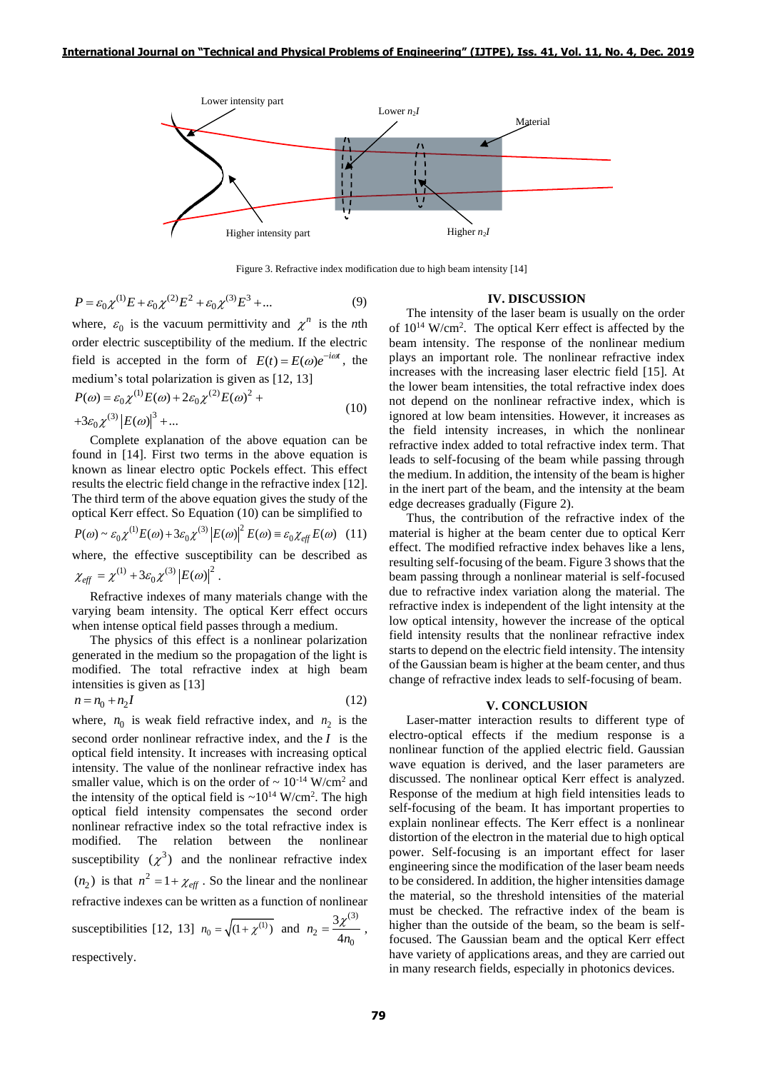

Figure 3. Refractive index modification due to high beam intensity [14]

$$
P = \varepsilon_0 \chi^{(1)} E + \varepsilon_0 \chi^{(2)} E^2 + \varepsilon_0 \chi^{(3)} E^3 + \dots
$$
 (9)

where,  $\varepsilon_0$  is the vacuum permittivity and  $\chi^n$  is the *n*th order electric susceptibility of the medium. If the electric field is accepted in the form of  $E(t) = E(\omega)e^{-i\omega t}$ , the

median's total polarization is given as [12, 13]  
\n
$$
P(\omega) = \varepsilon_0 \chi^{(1)} E(\omega) + 2\varepsilon_0 \chi^{(2)} E(\omega)^2 +
$$
\n
$$
+3\varepsilon_0 \chi^{(3)} |E(\omega)|^3 + ...
$$
\n(10)

Complete explanation of the above equation can be found in [14]. First two terms in the above equation is known as linear electro optic Pockels effect. This effect results the electric field change in the refractive index [12]. The third term of the above equation gives the study of the optical Kerr effect. So Equation (10) can be simplified to optical Kerr effect. So Equation (10) can be simplified to<br>  $P(\omega) \sim \varepsilon_0 \chi^{(1)} E(\omega) + 3\varepsilon_0 \chi^{(3)} |E(\omega)|^2 E(\omega) \equiv \varepsilon_0 \chi_{eff} E(\omega)$  (11) where, the effective susceptibility can be described as  $\chi_{\text{eff}} = \chi^{(1)} + 3\varepsilon_0 \chi^{(3)} |E(\omega)|^2$ .

Refractive indexes of many materials change with the varying beam intensity. The optical Kerr effect occurs when intense optical field passes through a medium.

The physics of this effect is a nonlinear polarization generated in the medium so the propagation of the light is modified. The total refractive index at high beam intensities is given as [13]

$$
n = n_0 + n_2 I \tag{12}
$$

( ${}^{10}E + \varepsilon_0 \chi^{(2)} E^2 + \varepsilon_0 \chi^{(3)} E^3 + \dots$  (9)<br>  ${}^{70}E + \varepsilon_0 \chi^{(2)} E^2 + \varepsilon_0 \chi^{(3)} E^3 + \dots$  (9)<br>  ${}^{70}$  is the vacuum permittivity and  $\chi^n$  is the *n*th<br>
tectric susceptibility of the medium. If the electric<br>
accepted where,  $n_0$  is weak field refractive index, and  $n_2$  is the second order nonlinear refractive index, and the *I* is the optical field intensity. It increases with increasing optical intensity. The value of the nonlinear refractive index has smaller value, which is on the order of  $\sim 10^{-14}$  W/cm<sup>2</sup> and the intensity of the optical field is  $\sim 10^{14}$  W/cm<sup>2</sup>. The high optical field intensity compensates the second order nonlinear refractive index so the total refractive index is modified. The relation between the nonlinear susceptibility  $(\chi^3)$  and the nonlinear refractive index  $(n_2)$  is that  $n^2 = 1 + \chi_{\text{eff}}$ . So the linear and the nonlinear refractive indexes can be written as a function of nonlinear susceptibilities [12, 13]  $n_0 = \sqrt{(1 + \chi^{(1)})}$  and (3)  $n_2 = \frac{1}{4n_0}$ 3  $n_2 = \frac{3\lambda}{4n}$  $=\frac{3\chi^{(1)}}{1}$ , respectively.

#### **IV. DISCUSSION**

The intensity of the laser beam is usually on the order of 10<sup>14</sup> W/cm<sup>2</sup> . The optical Kerr effect is affected by the beam intensity. The response of the nonlinear medium plays an important role. The nonlinear refractive index increases with the increasing laser electric field [15]. At the lower beam intensities, the total refractive index does not depend on the nonlinear refractive index, which is ignored at low beam intensities. However, it increases as the field intensity increases, in which the nonlinear refractive index added to total refractive index term. That leads to self-focusing of the beam while passing through the medium. In addition, the intensity of the beam is higher in the inert part of the beam, and the intensity at the beam edge decreases gradually (Figure 2).

Thus, the contribution of the refractive index of the material is higher at the beam center due to optical Kerr effect. The modified refractive index behaves like a lens, resulting self-focusing of the beam. Figure 3 shows that the beam passing through a nonlinear material is self-focused due to refractive index variation along the material. The refractive index is independent of the light intensity at the low optical intensity, however the increase of the optical field intensity results that the nonlinear refractive index starts to depend on the electric field intensity. The intensity of the Gaussian beam is higher at the beam center, and thus change of refractive index leads to self-focusing of beam.

### **V. CONCLUSION**

Laser-matter interaction results to different type of electro-optical effects if the medium response is a nonlinear function of the applied electric field. Gaussian wave equation is derived, and the laser parameters are discussed. The nonlinear optical Kerr effect is analyzed. Response of the medium at high field intensities leads to self-focusing of the beam. It has important properties to explain nonlinear effects. The Kerr effect is a nonlinear distortion of the electron in the material due to high optical power. Self-focusing is an important effect for laser engineering since the modification of the laser beam needs to be considered. In addition, the higher intensities damage the material, so the threshold intensities of the material must be checked. The refractive index of the beam is higher than the outside of the beam, so the beam is selffocused. The Gaussian beam and the optical Kerr effect have variety of applications areas, and they are carried out in many research fields, especially in photonics devices.